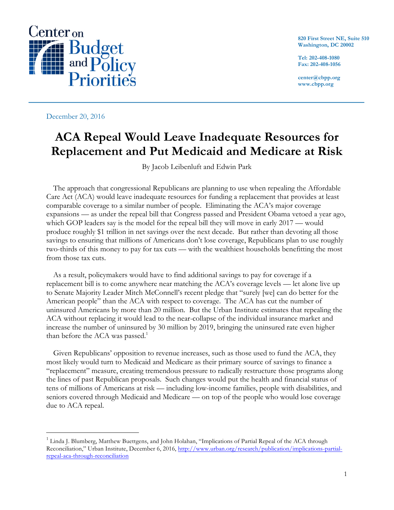

**820 First Street NE, Suite 510 Washington, DC 20002**

**Tel: 202-408-1080 Fax: 202-408-1056**

**center@cbpp.org www.cbpp.org**

December 20, 2016

# **ACA Repeal Would Leave Inadequate Resources for Replacement and Put Medicaid and Medicare at Risk**

By Jacob Leibenluft and Edwin Park

The approach that congressional Republicans are planning to use when repealing the Affordable Care Act (ACA) would leave inadequate resources for funding a replacement that provides at least comparable coverage to a similar number of people. Eliminating the ACA's major coverage expansions — as under the repeal bill that Congress passed and President Obama vetoed a year ago, which GOP leaders say is the model for the repeal bill they will move in early 2017 — would produce roughly \$1 trillion in net savings over the next decade. But rather than devoting all those savings to ensuring that millions of Americans don't lose coverage, Republicans plan to use roughly two-thirds of this money to pay for tax cuts — with the wealthiest households benefitting the most from those tax cuts.

As a result, policymakers would have to find additional savings to pay for coverage if a replacement bill is to come anywhere near matching the ACA's coverage levels — let alone live up to Senate Majority Leader Mitch McConnell's recent pledge that "surely [we] can do better for the American people" than the ACA with respect to coverage. The ACA has cut the number of uninsured Americans by more than 20 million. But the Urban Institute estimates that repealing the ACA without replacing it would lead to the near-collapse of the individual insurance market and increase the number of uninsured by 30 million by 2019, bringing the uninsured rate even higher than before the ACA was passed.<sup>1</sup>

Given Republicans' opposition to revenue increases, such as those used to fund the ACA, they most likely would turn to Medicaid and Medicare as their primary source of savings to finance a "replacement" measure, creating tremendous pressure to radically restructure those programs along the lines of past Republican proposals. Such changes would put the health and financial status of tens of millions of Americans at risk — including low-income families, people with disabilities, and seniors covered through Medicaid and Medicare — on top of the people who would lose coverage due to ACA repeal.

<sup>&</sup>lt;sup>1</sup> Linda J. Blumberg, Matthew Buettgens, and John Holahan, "Implications of Partial Repeal of the ACA through Reconciliation," Urban Institute, December 6, 2016, http://www.urban.org/research/publication/implications-partialrepeal-aca-through-reconciliation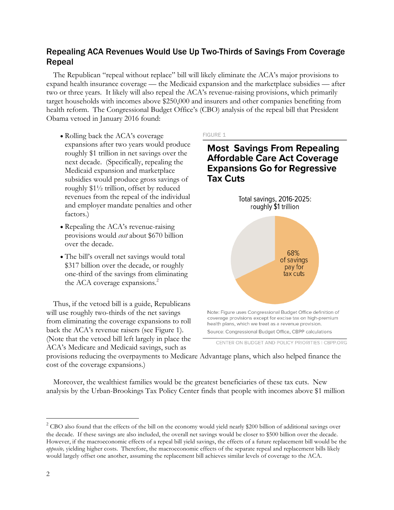# Repealing ACA Revenues Would Use Up Two-Thirds of Savings From Coverage Repeal

The Republican "repeal without replace" bill will likely eliminate the ACA's major provisions to expand health insurance coverage — the Medicaid expansion and the marketplace subsidies — after two or three years. It likely will also repeal the ACA's revenue-raising provisions, which primarily target households with incomes above \$250,000 and insurers and other companies benefiting from health reform. The Congressional Budget Office's (CBO) analysis of the repeal bill that President Obama vetoed in January 2016 found:

- Rolling back the ACA's coverage expansions after two years would produce roughly \$1 trillion in net savings over the next decade. (Specifically, repealing the Medicaid expansion and marketplace subsidies would produce gross savings of roughly \$1½ trillion, offset by reduced revenues from the repeal of the individual and employer mandate penalties and other factors.)
- Repealing the ACA's revenue-raising provisions would *cost* about \$670 billion over the decade.
- The bill's overall net savings would total \$317 billion over the decade, or roughly one-third of the savings from eliminating the ACA coverage expansions. 2

Thus, if the vetoed bill is a guide, Republicans will use roughly two-thirds of the net savings from eliminating the coverage expansions to roll back the ACA's revenue raisers (see Figure 1). (Note that the vetoed bill left largely in place the ACA's Medicare and Medicaid savings, such as

#### **FIGURE 1**

# **Most Savings From Repealing Affordable Care Act Coverage Expansions Go for Regressive Tax Cuts**



CENTER ON BUDGET AND POLICY PRIORITIES I CBPP.ORG

provisions reducing the overpayments to Medicare Advantage plans, which also helped finance the cost of the coverage expansions.)

Moreover, the wealthiest families would be the greatest beneficiaries of these tax cuts. New analysis by the Urban-Brookings Tax Policy Center finds that people with incomes above \$1 million

 $2$  CBO also found that the effects of the bill on the economy would yield nearly \$200 billion of additional savings over the decade. If these savings are also included, the overall net savings would be closer to \$500 billion over the decade. However, if the macroeconomic effects of a repeal bill yield savings, the effects of a future replacement bill would be the *opposite,* yielding higher costs. Therefore, the macroeconomic effects of the separate repeal and replacement bills likely would largely offset one another, assuming the replacement bill achieves similar levels of coverage to the ACA.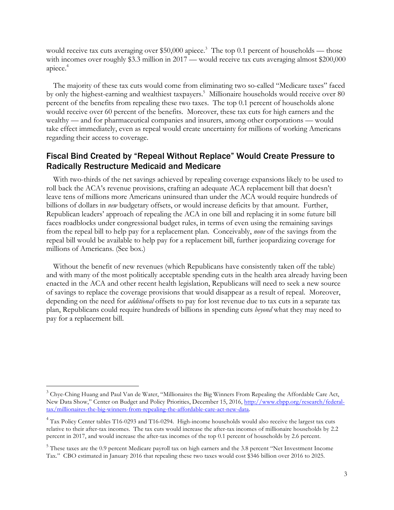would receive tax cuts averaging over \$50,000 apiece.<sup>3</sup> The top 0.1 percent of households — those with incomes over roughly \$3.3 million in 2017 — would receive tax cuts averaging almost \$200,000 apiece.<sup>4</sup>

The majority of these tax cuts would come from eliminating two so-called "Medicare taxes" faced by only the highest-earning and wealthiest taxpayers.<sup>5</sup> Millionaire households would receive over 80 percent of the benefits from repealing these two taxes. The top 0.1 percent of households alone would receive over 60 percent of the benefits. Moreover, these tax cuts for high earners and the wealthy — and for pharmaceutical companies and insurers, among other corporations — would take effect immediately, even as repeal would create uncertainty for millions of working Americans regarding their access to coverage.

## Fiscal Bind Created by "Repeal Without Replace" Would Create Pressure to Radically Restructure Medicaid and Medicare

With two-thirds of the net savings achieved by repealing coverage expansions likely to be used to roll back the ACA's revenue provisions, crafting an adequate ACA replacement bill that doesn't leave tens of millions more Americans uninsured than under the ACA would require hundreds of billions of dollars in *new* budgetary offsets, or would increase deficits by that amount. Further, Republican leaders' approach of repealing the ACA in one bill and replacing it in some future bill faces roadblocks under congressional budget rules, in terms of even using the remaining savings from the repeal bill to help pay for a replacement plan. Conceivably, *none* of the savings from the repeal bill would be available to help pay for a replacement bill, further jeopardizing coverage for millions of Americans. (See box.)

Without the benefit of new revenues (which Republicans have consistently taken off the table) and with many of the most politically acceptable spending cuts in the health area already having been enacted in the ACA and other recent health legislation, Republicans will need to seek a new source of savings to replace the coverage provisions that would disappear as a result of repeal. Moreover, depending on the need for *additional* offsets to pay for lost revenue due to tax cuts in a separate tax plan, Republicans could require hundreds of billions in spending cuts *beyond* what they may need to pay for a replacement bill.

 $3$  Chye-Ching Huang and Paul Van de Water, "Millionaires the Big Winners From Repealing the Affordable Care Act, New Data Show," Center on Budget and Policy Priorities, December 15, 2016, http://www.cbpp.org/research/federaltax/millionaires-the-big-winners-from-repealing-the-affordable-care-act-new-data.

 $4$  Tax Policy Center tables T16-0293 and T16-0294. High-income households would also receive the largest tax cuts relative to their after-tax incomes. The tax cuts would increase the after-tax incomes of millionaire households by 2.2 percent in 2017, and would increase the after-tax incomes of the top 0.1 percent of households by 2.6 percent.

<sup>&</sup>lt;sup>5</sup> These taxes are the 0.9 percent Medicare payroll tax on high earners and the 3.8 percent "Net Investment Income Tax." CBO estimated in January 2016 that repealing these two taxes would cost \$346 billion over 2016 to 2025.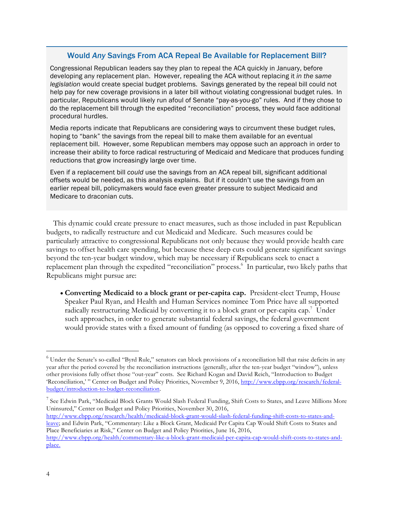### Would *Any* Savings From ACA Repeal Be Available for Replacement Bill?

Congressional Republican leaders say they plan to repeal the ACA quickly in January, before developing any replacement plan. However, repealing the ACA without replacing it *in the same legislation* would create special budget problems. Savings generated by the repeal bill could not help pay for new coverage provisions in a later bill without violating congressional budget rules. In particular, Republicans would likely run afoul of Senate "pay-as-you-go" rules. And if they chose to do the replacement bill through the expedited "reconciliation" process, they would face additional procedural hurdles.

Media reports indicate that Republicans are considering ways to circumvent these budget rules, hoping to "bank" the savings from the repeal bill to make them available for an eventual replacement bill. However, some Republican members may oppose such an approach in order to increase their ability to force radical restructuring of Medicaid and Medicare that produces funding reductions that grow increasingly large over time.

Even if a replacement bill *could* use the savings from an ACA repeal bill, significant additional offsets would be needed, as this analysis explains. But if it couldn't use the savings from an earlier repeal bill, policymakers would face even greater pressure to subject Medicaid and Medicare to draconian cuts.

This dynamic could create pressure to enact measures, such as those included in past Republican budgets, to radically restructure and cut Medicaid and Medicare. Such measures could be particularly attractive to congressional Republicans not only because they would provide health care savings to offset health care spending, but because these deep cuts could generate significant savings beyond the ten-year budget window, which may be necessary if Republicans seek to enact a replacement plan through the expedited "reconciliation" process.<sup>6</sup> In particular, two likely paths that Republicans might pursue are:

• **Converting Medicaid to a block grant or per-capita cap.** President-elect Trump, House Speaker Paul Ryan, and Health and Human Services nominee Tom Price have all supported radically restructuring Medicaid by converting it to a block grant or per-capita cap.<sup>7</sup> Under such approaches, in order to generate substantial federal savings, the federal government would provide states with a fixed amount of funding (as opposed to covering a fixed share of

<sup>7</sup> See Edwin Park, "Medicaid Block Grants Would Slash Federal Funding, Shift Costs to States, and Leave Millions More Uninsured," Center on Budget and Policy Priorities, November 30, 2016,

http://www.cbpp.org/research/health/medicaid-block-grant-would-slash-federal-funding-shift-costs-to-states-andleave; and Edwin Park, "Commentary: Like a Block Grant, Medicaid Per Capita Cap Would Shift Costs to States and Place Beneficiaries at Risk," Center on Budget and Policy Priorities, June 16, 2016,

 $<sup>6</sup>$  Under the Senate's so-called "Byrd Rule," senators can block provisions of a reconciliation bill that raise deficits in any</sup> year after the period covered by the reconciliation instructions (generally, after the ten-year budget "window"), unless other provisions fully offset those "out-year" costs. See Richard Kogan and David Reich, "Introduction to Budget 'Reconciliation,' " Center on Budget and Policy Priorities, November 9, 2016, http://www.cbpp.org/research/federalbudget/introduction-to-budget-reconciliation.

http://www.cbpp.org/health/commentary-like-a-block-grant-medicaid-per-capita-cap-would-shift-costs-to-states-andplace.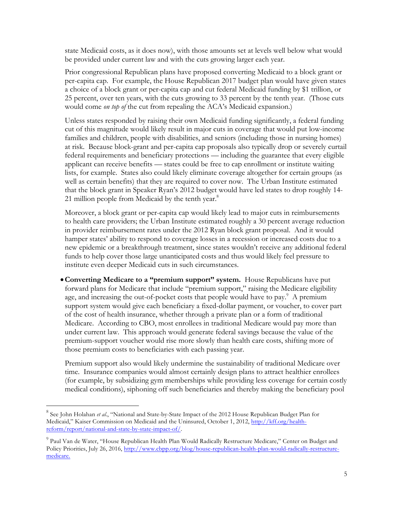state Medicaid costs, as it does now), with those amounts set at levels well below what would be provided under current law and with the cuts growing larger each year.

Prior congressional Republican plans have proposed converting Medicaid to a block grant or per-capita cap. For example, the House Republican 2017 budget plan would have given states a choice of a block grant or per-capita cap and cut federal Medicaid funding by \$1 trillion, or 25 percent, over ten years, with the cuts growing to 33 percent by the tenth year. (Those cuts would come *on top of* the cut from repealing the ACA's Medicaid expansion.)

Unless states responded by raising their own Medicaid funding significantly, a federal funding cut of this magnitude would likely result in major cuts in coverage that would put low-income families and children, people with disabilities, and seniors (including those in nursing homes) at risk. Because block-grant and per-capita cap proposals also typically drop or severely curtail federal requirements and beneficiary protections — including the guarantee that every eligible applicant can receive benefits — states could be free to cap enrollment or institute waiting lists, for example. States also could likely eliminate coverage altogether for certain groups (as well as certain benefits) that they are required to cover now. The Urban Institute estimated that the block grant in Speaker Ryan's 2012 budget would have led states to drop roughly 14- 21 million people from Medicaid by the tenth year. $8$ 

Moreover, a block grant or per-capita cap would likely lead to major cuts in reimbursements to health care providers; the Urban Institute estimated roughly a 30 percent average reduction in provider reimbursement rates under the 2012 Ryan block grant proposal. And it would hamper states' ability to respond to coverage losses in a recession or increased costs due to a new epidemic or a breakthrough treatment, since states wouldn't receive any additional federal funds to help cover those large unanticipated costs and thus would likely feel pressure to institute even deeper Medicaid cuts in such circumstances.

•**Converting Medicare to a "premium support" system.** House Republicans have put forward plans for Medicare that include "premium support," raising the Medicare eligibility age, and increasing the out-of-pocket costs that people would have to pay.<sup>9</sup> A premium support system would give each beneficiary a fixed-dollar payment, or voucher, to cover part of the cost of health insurance, whether through a private plan or a form of traditional Medicare. According to CBO, most enrollees in traditional Medicare would pay more than under current law. This approach would generate federal savings because the value of the premium-support voucher would rise more slowly than health care costs, shifting more of those premium costs to beneficiaries with each passing year.

Premium support also would likely undermine the sustainability of traditional Medicare over time. Insurance companies would almost certainly design plans to attract healthier enrollees (for example, by subsidizing gym memberships while providing less coverage for certain costly medical conditions), siphoning off such beneficiaries and thereby making the beneficiary pool

<sup>&</sup>lt;sup>8</sup> See John Holahan *et al.*, "National and State-by-State Impact of the 2012 House Republican Budget Plan for Medicaid," Kaiser Commission on Medicaid and the Uninsured, October 1, 2012, http://kff.org/healthreform/report/national-and-state-by-state-impact-of/.

<sup>&</sup>lt;sup>9</sup> Paul Van de Water, "House Republican Health Plan Would Radically Restructure Medicare," Center on Budget and Policy Priorities, July 26, 2016, http://www.cbpp.org/blog/house-republican-health-plan-would-radically-restructuremedicare.